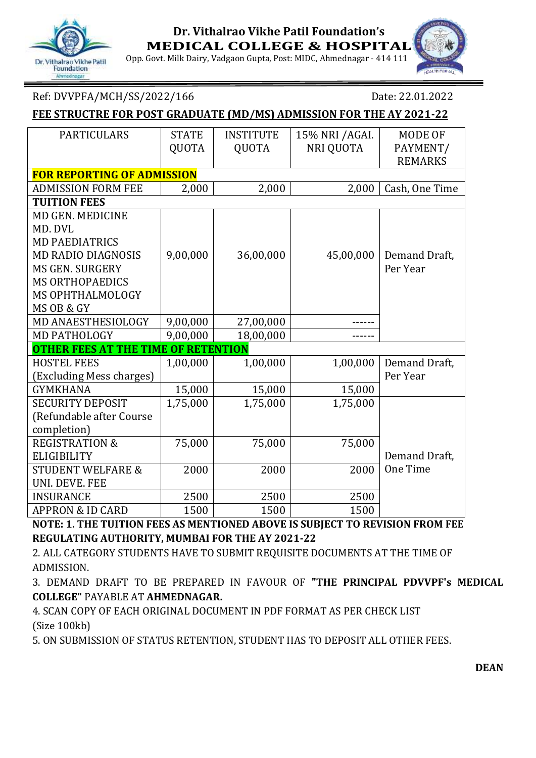# Dr. Vithalrao Vikhe Patil Foundation

#### **Dr. Vithalrao Vikhe Patil Foundation's MEDICAL COLLEGE & HOSPITAL**

Opp. Govt. Milk Dairy, Vadgaon Gupta, Post: MIDC, Ahmednagar - 414 111



#### Ref: DVVPFA/MCH/SS/2022/166 Date: 22.01.2022

#### **FEE STRUCTRE FOR POST GRADUATE (MD/MS) ADMISSION FOR THE AY 2021-22**

| <b>PARTICULARS</b>                         | <b>STATE</b> | <b>INSTITUTE</b> | 15% NRI / AGAI.  | MODE OF        |  |  |  |  |
|--------------------------------------------|--------------|------------------|------------------|----------------|--|--|--|--|
|                                            | QUOTA        | QUOTA            | <b>NRI QUOTA</b> | PAYMENT/       |  |  |  |  |
|                                            |              |                  |                  | <b>REMARKS</b> |  |  |  |  |
| <b>FOR REPORTING OF ADMISSION</b>          |              |                  |                  |                |  |  |  |  |
| <b>ADMISSION FORM FEE</b>                  | 2,000        | 2,000            | 2,000            | Cash, One Time |  |  |  |  |
| <b>TUITION FEES</b>                        |              |                  |                  |                |  |  |  |  |
| MD GEN. MEDICINE                           |              |                  |                  |                |  |  |  |  |
| MD. DVL                                    |              |                  |                  |                |  |  |  |  |
| <b>MD PAEDIATRICS</b>                      |              |                  |                  |                |  |  |  |  |
| <b>MD RADIO DIAGNOSIS</b>                  | 9,00,000     | 36,00,000        | 45,00,000        | Demand Draft,  |  |  |  |  |
| <b>MS GEN. SURGERY</b>                     |              |                  |                  | Per Year       |  |  |  |  |
| <b>MS ORTHOPAEDICS</b>                     |              |                  |                  |                |  |  |  |  |
| MS OPHTHALMOLOGY                           |              |                  |                  |                |  |  |  |  |
| MS OB & GY                                 |              |                  |                  |                |  |  |  |  |
| MD ANAESTHESIOLOGY                         | 9,00,000     | 27,00,000        |                  |                |  |  |  |  |
| <b>MD PATHOLOGY</b>                        | 9,00,000     | 18,00,000        |                  |                |  |  |  |  |
| <b>OTHER FEES AT THE TIME OF RETENTION</b> |              |                  |                  |                |  |  |  |  |
| <b>HOSTEL FEES</b>                         | 1,00,000     | 1,00,000         | 1,00,000         | Demand Draft,  |  |  |  |  |
| (Excluding Mess charges)                   |              |                  |                  | Per Year       |  |  |  |  |
| <b>GYMKHANA</b>                            | 15,000       | 15,000           | 15,000           |                |  |  |  |  |
| <b>SECURITY DEPOSIT</b>                    | 1,75,000     | 1,75,000         | 1,75,000         |                |  |  |  |  |
| (Refundable after Course                   |              |                  |                  |                |  |  |  |  |
| completion)                                |              |                  |                  |                |  |  |  |  |
| <b>REGISTRATION &amp;</b>                  | 75,000       | 75,000           | 75,000           |                |  |  |  |  |
| <b>ELIGIBILITY</b>                         |              |                  |                  | Demand Draft,  |  |  |  |  |
| <b>STUDENT WELFARE &amp;</b>               | 2000         | 2000             | 2000             | One Time       |  |  |  |  |
| <b>UNI. DEVE. FEE</b>                      |              |                  |                  |                |  |  |  |  |
| <b>INSURANCE</b>                           | 2500         | 2500             | 2500             |                |  |  |  |  |
| <b>APPRON &amp; ID CARD</b>                | 1500         | 1500             | 1500             |                |  |  |  |  |

**NOTE: 1. THE TUITION FEES AS MENTIONED ABOVE IS SUBJECT TO REVISION FROM FEE REGULATING AUTHORITY, MUMBAI FOR THE AY 2021-22**

2. ALL CATEGORY STUDENTS HAVE TO SUBMIT REQUISITE DOCUMENTS AT THE TIME OF ADMISSION.

3. DEMAND DRAFT TO BE PREPARED IN FAVOUR OF **"THE PRINCIPAL PDVVPF's MEDICAL COLLEGE"** PAYABLE AT **AHMEDNAGAR.**

4. SCAN COPY OF EACH ORIGINAL DOCUMENT IN PDF FORMAT AS PER CHECK LIST (Size 100kb)

5. ON SUBMISSION OF STATUS RETENTION, STUDENT HAS TO DEPOSIT ALL OTHER FEES.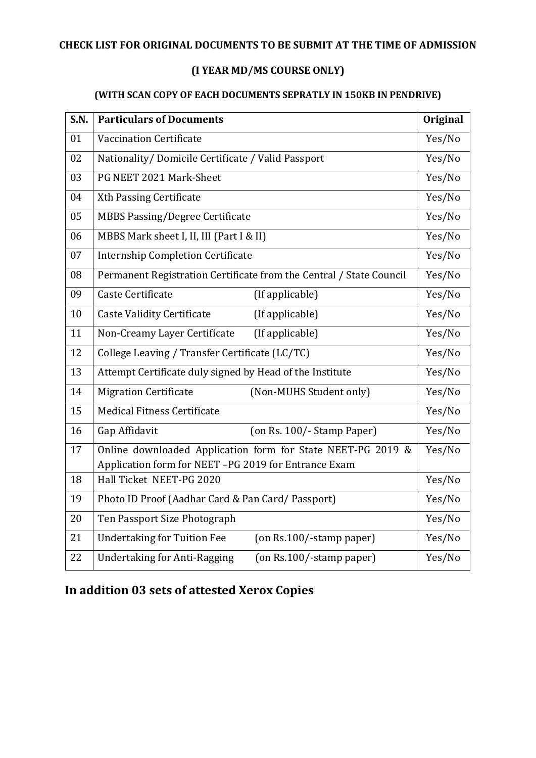#### **CHECK LIST FOR ORIGINAL DOCUMENTS TO BE SUBMIT AT THE TIME OF ADMISSION**

### **(I YEAR MD/MS COURSE ONLY)**

#### **(WITH SCAN COPY OF EACH DOCUMENTS SEPRATLY IN 150KB IN PENDRIVE)**

| S.N. | <b>Particulars of Documents</b>                                       |        |  |
|------|-----------------------------------------------------------------------|--------|--|
| 01   | <b>Vaccination Certificate</b>                                        |        |  |
| 02   | Nationality/Domicile Certificate / Valid Passport                     |        |  |
| 03   | PG NEET 2021 Mark-Sheet                                               | Yes/No |  |
| 04   | Xth Passing Certificate                                               | Yes/No |  |
| 05   | <b>MBBS Passing/Degree Certificate</b>                                | Yes/No |  |
| 06   | MBBS Mark sheet I, II, III (Part I & II)                              |        |  |
| 07   | <b>Internship Completion Certificate</b>                              |        |  |
| 08   | Permanent Registration Certificate from the Central / State Council   | Yes/No |  |
| 09   | Caste Certificate<br>(If applicable)                                  | Yes/No |  |
| 10   | <b>Caste Validity Certificate</b><br>(If applicable)                  | Yes/No |  |
| 11   | Non-Creamy Layer Certificate<br>(If applicable)                       | Yes/No |  |
| 12   | College Leaving / Transfer Certificate (LC/TC)                        |        |  |
| 13   | Attempt Certificate duly signed by Head of the Institute              |        |  |
| 14   | <b>Migration Certificate</b><br>(Non-MUHS Student only)               | Yes/No |  |
| 15   | <b>Medical Fitness Certificate</b>                                    | Yes/No |  |
| 16   | Gap Affidavit<br>(on Rs. 100/- Stamp Paper)                           | Yes/No |  |
| 17   | Online downloaded Application form for State NEET-PG 2019 &           |        |  |
|      | Application form for NEET-PG 2019 for Entrance Exam                   |        |  |
| 18   | Hall Ticket NEET-PG 2020                                              | Yes/No |  |
| 19   | Photo ID Proof (Aadhar Card & Pan Card/ Passport)                     |        |  |
| 20   | Ten Passport Size Photograph                                          | Yes/No |  |
| 21   | <b>Undertaking for Tuition Fee</b><br>(on Rs.100/-stamp paper)        | Yes/No |  |
| 22   | <b>Undertaking for Anti-Ragging</b><br>$($ on Rs.100/-stamp paper $)$ | Yes/No |  |

# **In addition 03 sets of attested Xerox Copies**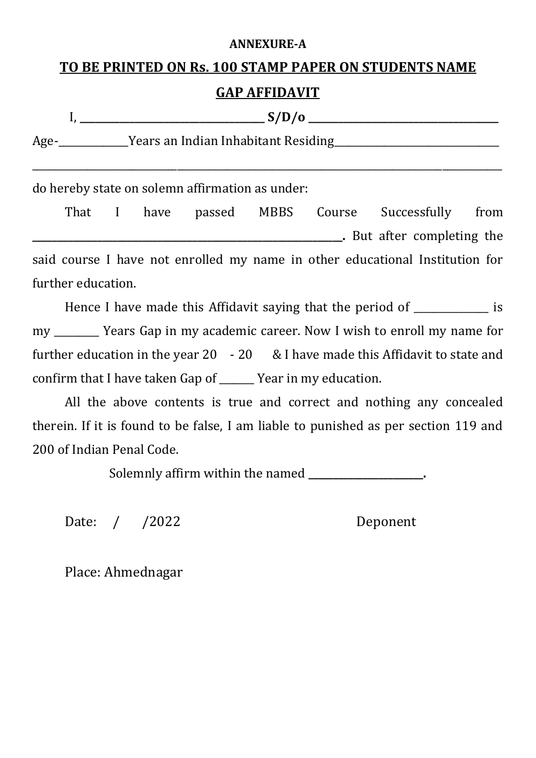#### **ANNEXURE-A**

# **TO BE PRINTED ON Rs. 100 STAMP PAPER ON STUDENTS NAME**

### **GAP AFFIDAVIT**

|      | S/D/0                               |
|------|-------------------------------------|
| Age- | Years an Indian Inhabitant Residing |

\_\_\_\_\_\_\_\_\_\_\_\_\_\_\_\_\_\_\_\_\_\_\_\_\_\_\_\_\_\_\_\_\_\_\_\_\_\_\_\_\_\_\_\_\_\_\_\_\_\_\_\_\_\_\_\_\_\_\_\_\_\_\_\_\_\_\_\_\_\_\_\_\_\_\_\_\_\_\_\_\_\_\_\_\_\_\_\_\_\_\_\_\_\_

do hereby state on solemn affirmation as under:

That I have passed MBBS Course Successfully from **\_\_\_\_\_\_\_\_\_\_\_\_\_\_\_\_\_\_\_\_\_\_\_\_\_\_\_\_\_\_\_\_\_\_\_\_\_\_\_\_\_\_\_\_\_\_\_\_\_\_\_\_\_\_\_\_\_\_\_\_\_\_.** But after completing the said course I have not enrolled my name in other educational Institution for further education.

Hence I have made this Affidavit saying that the period of \_\_\_\_\_\_\_\_\_\_\_\_\_\_\_ is my Tears Gap in my academic career. Now I wish to enroll my name for further education in the year 20 - 20 & I have made this Affidavit to state and confirm that I have taken Gap of \_\_\_\_\_\_\_ Year in my education.

All the above contents is true and correct and nothing any concealed therein. If it is found to be false, I am liable to punished as per section 119 and 200 of Indian Penal Code.

Solemnly affirm within the named **\_\_\_\_\_\_\_\_\_\_\_\_\_\_\_\_\_\_\_\_\_\_\_.**

Date: / /2022 Deponent

Place: Ahmednagar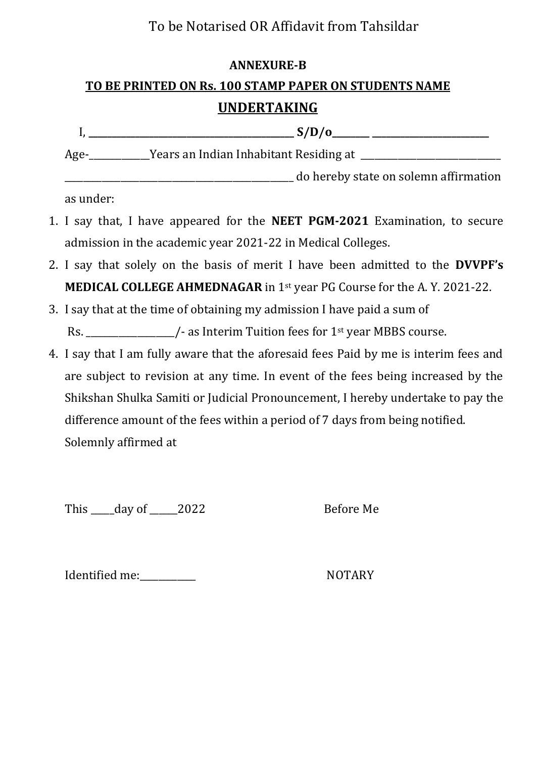# To be Notarised OR Affidavit from Tahsildar

#### **ANNEXURE-B**

# **TO BE PRINTED ON Rs. 100 STAMP PAPER ON STUDENTS NAME**

## **UNDERTAKING**

|      | S/D/O                                  |
|------|----------------------------------------|
| Age- | Years an Indian Inhabitant Residing at |
|      | do hereby state on solemn affirmation  |

as under:

- 1. I say that, I have appeared for the **NEET PGM-2021** Examination, to secure admission in the academic year 2021-22 in Medical Colleges.
- 2. I say that solely on the basis of merit I have been admitted to the **DVVPF's MEDICAL COLLEGE AHMEDNAGAR** in 1<sup>st</sup> year PG Course for the A.Y. 2021-22.
- 3. I say that at the time of obtaining my admission I have paid a sum of

Rs. \_\_\_\_\_\_\_\_\_\_\_\_\_\_\_\_\_\_/- as Interim Tuition fees for 1<sup>st</sup> year MBBS course.

4. I say that I am fully aware that the aforesaid fees Paid by me is interim fees and are subject to revision at any time. In event of the fees being increased by the Shikshan Shulka Samiti or Judicial Pronouncement, I hereby undertake to pay the difference amount of the fees within a period of 7 days from being notified. Solemnly affirmed at

This \_\_\_\_day of \_\_\_\_\_2022 Before Me

Identified me: NOTARY